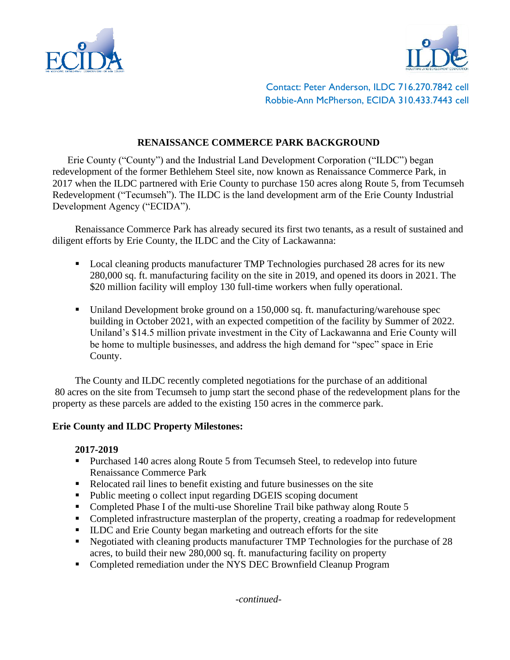



Contact: Peter Anderson, ILDC 716.270.7842 cell Robbie-Ann McPherson, ECIDA 310.433.7443 cell

# **RENAISSANCE COMMERCE PARK BACKGROUND**

Erie County ("County") and the Industrial Land Development Corporation ("ILDC") began redevelopment of the former Bethlehem Steel site, now known as Renaissance Commerce Park, in 2017 when the ILDC partnered with Erie County to purchase 150 acres along Route 5, from Tecumseh Redevelopment ("Tecumseh"). The ILDC is the land development arm of the Erie County Industrial Development Agency ("ECIDA").

Renaissance Commerce Park has already secured its first two tenants, as a result of sustained and diligent efforts by Erie County, the ILDC and the City of Lackawanna:

- Local cleaning products manufacturer TMP Technologies purchased 28 acres for its new 280,000 sq. ft. manufacturing facility on the site in 2019, and opened its doors in 2021. The \$20 million facility will employ 130 full-time workers when fully operational.
- Uniland Development broke ground on a 150,000 sq. ft. manufacturing/warehouse spec building in October 2021, with an expected competition of the facility by Summer of 2022. Uniland's \$14.5 million private investment in the City of Lackawanna and Erie County will be home to multiple businesses, and address the high demand for "spec" space in Erie County.

The County and ILDC recently completed negotiations for the purchase of an additional 80 acres on the site from Tecumseh to jump start the second phase of the redevelopment plans for the property as these parcels are added to the existing 150 acres in the commerce park.

## **Erie County and ILDC Property Milestones:**

#### **2017-2019**

- Purchased 140 acres along Route 5 from Tecumseh Steel, to redevelop into future Renaissance Commerce Park
- Relocated rail lines to benefit existing and future businesses on the site
- Public meeting o collect input regarding DGEIS scoping document
- Completed Phase I of the multi-use Shoreline Trail bike pathway along Route 5
- Completed infrastructure masterplan of the property, creating a roadmap for redevelopment
- ILDC and Erie County began marketing and outreach efforts for the site
- Negotiated with cleaning products manufacturer TMP Technologies for the purchase of 28 acres, to build their new 280,000 sq. ft. manufacturing facility on property
- Completed remediation under the NYS DEC Brownfield Cleanup Program